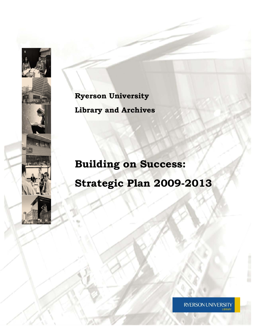**Ryerson University Library and Archives** 

**Building on Success: Strategic Plan 2009-2013** 





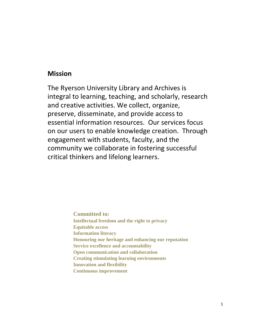# **Mission**

The Ryerson University Library and Archives is integral to learning, teaching, and scholarly, research and creative activities. We collect, organize, preserve, disseminate, and provide access to essential information resources. Our services focus on our users to enable knowledge creation. Through engagement with students, faculty, and the community we collaborate in fostering successful critical thinkers and lifelong learners.

> **Committed to: Intellectual freedom and the right to privacy Equitable access Information literacy Honouring our heritage and enhancing our reputation Service excellence and accountability Open communication and collaboration Creating stimulating learning environments Innovation and flexibility Continuous improvement**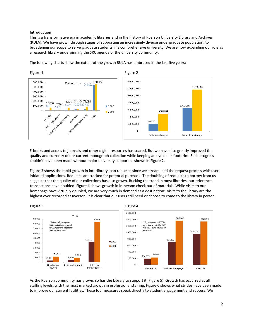# **Introduction**

This is a transformative era in academic libraries and in the history of Ryerson University Library and Archives (RULA). We have grown through stages of supporting an increasingly diverse undergraduate population, to broadening our scope to serve graduate students in a comprehensive university. We are now expanding our role as a research library underpinning the SRC agenda of the university community.

The following charts show the extent of the growth RULA has embraced in the last five years:



E‐books and access to journals and other digital resources has soared. But we have also greatly improved the quality and currency of our current monograph collection while keeping an eye on its footprint. Such progress couldn't have been made without major university support as shown in Figure 2.

Figure 3 shows the rapid growth in interlibrary loan requests since we streamlined the request process with userinitiated applications. Requests are tracked for potential purchase. The doubling of requests to borrow from us suggests that the quality of our collections has also grown. Bucking the trend in most libraries, our reference transactions have doubled. Figure 4 shows growth in in‐person check out of materials. While visits to our homepage have virtually doubled, we are very much in demand as a destination: visits to the library are the highest ever recorded at Ryerson. It is clear that our users still need or choose to come to the library in person.



As the Ryerson community has grown, so has the Library to support it (Figure 5). Growth has occurred at all staffing levels, with the most marked growth in professional staffing. Figure 6 shows what strides have been made to improve our current facilities. These four measures speak directly to student engagement and success. We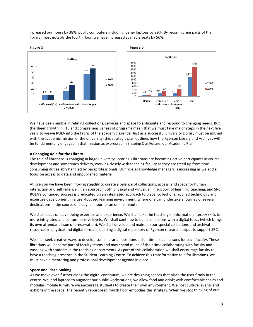increased our hours by 38%; public computers including loaner laptops by 99%. By reconfiguring parts of the library, most notably the fourth floor, we have increased available seats by 56%.



We have been nimble in refining collections, services and space to anticipate and respond to changing needs. But the sheer growth in FTE and comprehensiveness of programs mean that we must take major steps in the next five years to weave RULA into the fabric of the academic agenda. Just as a successful university Library must be aligned with the academic mission of the university, this strategic plan outlines how the Ryerson Library and Archives will be fundamentally engaged in that mission as expressed in Shaping Our Future, our Academic Plan.

### **A Changing Role for the Library**

The role of librarians is changing in large university libraries. Librarians are becoming active participants in course development and sometimes delivery, working closely with teaching faculty as they are freed up from time‐ consuming duties ably handled by paraprofessionals. Our role as knowledge managers is increasing as we add a focus on access to data and unpublished material.

At Ryerson we have been moving steadily to create a balance of collections, access, and space for human interaction and self reliance, in an approach both physical and virtual, all in support of learning, teaching, and SRC. RULA's continued success is predicated on an integrated approach to place, collections, applied technology and expertise development in a user‐focused learning environment, where one can undertake a journey of several destinations in the course of a day, an hour, or an online minute.

We shall focus on developing expertise and experience. We shall take the teaching of information literacy skills to more integrated and comprehensive levels. We shall continue to build collections with a digital focus (which brings its own attendant issue of preservation). We shall develop and maintain our special collections and archival resources in physical and digital formats, building a digital repository of Ryerson research output to support SRC.

We shall seek creative ways to develop some librarian positions as full-time 'lead' liaisons for each faculty. These librarians will become part of faculty teams and may spend much of their time collaborating with faculty and working with students in the teaching departments. As part of this collaboration we shall encourage faculty to have a teaching presence in the Student Learning Centre. To achieve this transformative role for librarians, we must have a mentoring and professional development agenda in place.

#### **Space and Place Making**

As we move even further along the digital continuum, we are designing spaces that place the user firmly in the centre. We lend laptops to augment our public workstations; we allow food and drink; with comfortable chairs and modular, mobile furniture we encourage students to create their own environment. We host cultural events and exhibits in the space. The recently repurposed fourth floor embodies this strategy. When we stopthinking of our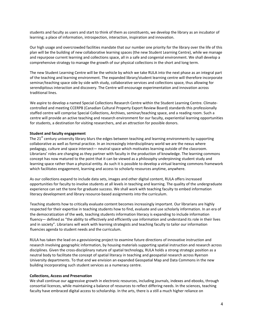students and faculty as users and start to think of them as constituents, we develop the library as an incubator of learning; a place of information, introspection, interaction, inspiration and innovation.

Our high usage and overcrowded facilities mandate that our number one priority for the library over the life of this plan will be the building of new collaborative learning spaces (the new Student Learning Centre), while we manage and repurpose current learning and collections space, all in a safe and congenial environment. We shall develop a comprehensive strategy to manage the growth of our physical collections in the short and long term.

The new Student Learning Centre will be the vehicle by which we take RULA into the next phase as an integral part of the teaching and learning environment. The expanded library/student learning centre will therefore incorporate seminar/teaching space side by side with study, collaborative services and collections space, thus allowing for serendipitous interaction and discovery. The Centre will encourage experimentation and innovation across traditional lines.

We aspire to develop a named Special Collections Research Centre within the Student Learning Centre. Climatecontrolled and meeting CCERPB (Canadian Cultural Property Export Review Board) standards this professionally staffed centre will comprise Special Collections, Archives, seminar/teaching space, and a reading room. Such a centre will provide an active teaching and research environment for our faculty, experiential learning opportunities for students, a destination for visiting researchers, and an attraction for possible donors.

#### **Student and faculty engagement**

The  $21<sup>st</sup>$  century university library blurs the edges between teaching and learning environments by supporting collaborative as well as formal practice. In an increasingly interdisciplinary world we are the nexus where pedagogy, culture and space intersect— neutral space which motivates learning outside of the classroom. Librarians' roles are changing as they partner with faculty in the production of knowledge. The learning commons concept has now matured to the point that it can be viewed as a philosophy underpinning student study and learning space rather than a physical entity. As such it is possible to develop a virtual learning commons framework which facilitates engagement, learning and access to scholarly resources anytime, anywhere.

As our collections expand to include data sets, images and other digital content, RULA offers increased opportunities for faculty to involve students at all levels in teaching and learning. The quality of the undergraduate experience can set the tone for graduate success. We shall work with teaching faculty to embed information literacy development and library resource‐based assignments into the curriculum.

Teaching students how to critically evaluate content becomes increasingly important. Our librarians are highly respected for their expertise in teaching students how to find, evaluate and use scholarly information. In an era of the democratization of the web, teaching students information literacy is expanding to include information fluency— defined as "the ability to effectively and efficiently use information and understand its role in their lives and in society". Librarians will work with learning strategists and teaching faculty to tailor our information fluencies agenda to student needs and the curriculum.

RULA has taken the lead on a geovisioning project to examine future directions of innovative instruction and research involving geographic information, by housing materials supporting spatial instruction and research across disciplines. Given the cross‐disciplinary nature of spatial technology, RULA holds a strong strategic position as a neutral body to facilitate the concept of spatial literacy in teaching and geospatial research across Ryerson University departments. To that end we envision an expanded Geospatial Map and Data Commons in the new building incorporating such student services as a numeracy centre.

#### **Collections, Access and Preservation**

We shall continue our aggressive growth in electronic resources, including journals, indexes and ebooks, through consortial licences, while maintaining a balance of resources to reflect differing needs. In the sciences, teaching faculty have embraced digital access to scholarship. In the arts, there is a still a much higher reliance on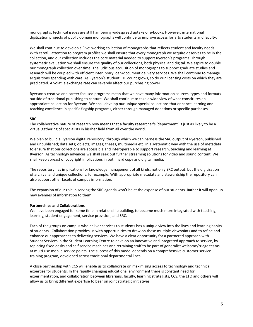monographs: technical issues are still hampering widespread uptake of e‐books. However, international digitization projects of public domain monographs will continue to improve access for arts students and faculty.

We shall continue to develop a 'live' working collection of monographs that reflects student and faculty needs. With careful attention to program profiles we shall ensure that every monograph we acquire deserves to be in the collection, and our collection includes the core material needed to support Ryerson's programs. Through systematic evaluation we shall ensure the quality of our collections, both physical and digital. We aspire to double our monograph collection over time. The judicious acquisition of monographs to support graduate studies and research will be coupled with efficient interlibrary loan/document delivery services. We shall continue to manage acquisitions spending with care. As Ryerson's student FTE count grows, so do our licensing costs on which they are predicated. A volatile exchange rate can severely affect our purchasing power.

Ryerson's creative and career focused programs mean that we have many information sources, types and formats outside of traditional publishing to capture. We shall continue to take a wide view of what constitutes an appropriate collection for Ryerson. We shall develop our unique special collections that enhance learning and teaching excellence in specific flagship programs, either through managed donations or specific purchases.

#### **SRC**

The collaborative nature of research now means that a faculty researcher's 'department' is just as likely to be a virtual gathering of specialists in his/her field from all over the world.

We plan to build a Ryerson digital repository, through which we can harness the SRC output of Ryerson, published and unpublished; data sets; objects; images; theses, multimedia etc. in a systematic way with the use of metadata to ensure that our collections are accessible and interoperable to support research, teaching and learning at Ryerson. As technology advances we shall seek out further streaming solutions for video and sound content. We shall keep abreast of copyright implications in both hard copy and digital media.

The repository has implications for knowledge management of all kinds: not only SRC output, but the digitization of archival and unique collections, for example. With appropriate metadata and stewardship the repository can also support other facets of campus information.

The expansion of our role in serving the SRC agenda won't be at the expense of our students. Rather it will open up new avenues of information to them.

#### **Partnerships and Collaborations**

We have been engaged for some time in relationship building, to become much more integrated with teaching, learning, student engagement, service provision, and SRC.

Each of the groups on campus who deliver services to students has a unique view into the lives and learning habits of students. Collaboration provides us with opportunities to draw on these multiple viewpoints and to refine and enhance our approaches to delivering services. We have a clear opportunity for a partnered approach with Student Services in the Student Learning Centre to develop an innovative and integrated approach to service, by replacing fixed desks and self service machines and retraining staff to be part of generalist welcome/triage teams at multi-use mobile service points. The success of this model depends on a comprehensive customer service training program, developed across traditional departmental lines.

A close partnership with CCS will enable us to collaborate on maximizing access to technology and technical expertise for students. In the rapidly changing educational environment there is constant need for experimentation, and collaboration between librarians, faculty, learning strategists, CCS, the LTO and others will allow us to bring different expertise to bear on joint strategic initiatives.